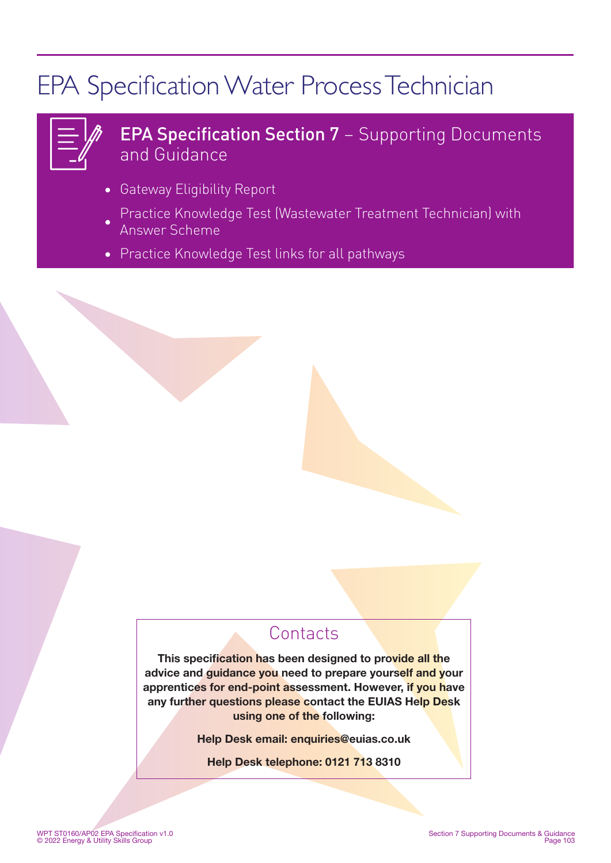# EPA Specification Water Process Technician

| and the state of the state of the<br>___ |  |
|------------------------------------------|--|
| ________                                 |  |
| _                                        |  |

### EPA Specification Section 7 – Supporting Documents and Guidance

- Gateway Eligibility Report
- Practice Knowledge Test (Wastewater Treatment Technician) with Answer Scheme
- Practice Knowledge Test links for all pathways

### **Contacts**

This specification has been designed to provide all the advice and guidance you need to prepare yourself and your apprentices for end-point assessment. However, if you have any further questions please contact the EUIAS Help Desk using one of the following:

Help Desk email: enquiries@euias.co.uk

Help Desk telephone: 0121 713 8310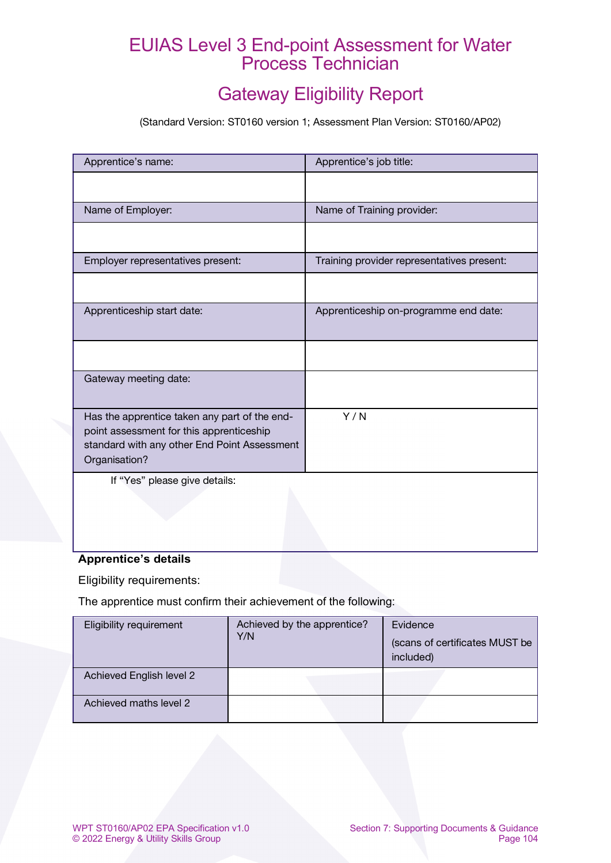### EUIAS Level 3 End-point Assessment for Water Process Technician

### Gateway Eligibility Report

(Standard Version: ST0160 version 1; Assessment Plan Version: ST0160/AP02)

| Apprentice's name:                                                                                                                                         | Apprentice's job title:                    |  |
|------------------------------------------------------------------------------------------------------------------------------------------------------------|--------------------------------------------|--|
|                                                                                                                                                            |                                            |  |
| Name of Employer:                                                                                                                                          | Name of Training provider:                 |  |
|                                                                                                                                                            |                                            |  |
| Employer representatives present:                                                                                                                          | Training provider representatives present: |  |
|                                                                                                                                                            |                                            |  |
| Apprenticeship start date:                                                                                                                                 | Apprenticeship on-programme end date:      |  |
|                                                                                                                                                            |                                            |  |
| Gateway meeting date:                                                                                                                                      |                                            |  |
| Has the apprentice taken any part of the end-<br>point assessment for this apprenticeship<br>standard with any other End Point Assessment<br>Organisation? | Y/N                                        |  |
| If "Yes" please give details:                                                                                                                              |                                            |  |

### **Apprentice's details**

Eligibility requirements:

The apprentice must confirm their achievement of the following:

| Eligibility requirement  | Achieved by the apprentice?<br>Y/N | Evidence<br>(scans of certificates MUST be<br>included) |
|--------------------------|------------------------------------|---------------------------------------------------------|
| Achieved English level 2 |                                    |                                                         |
| Achieved maths level 2   |                                    |                                                         |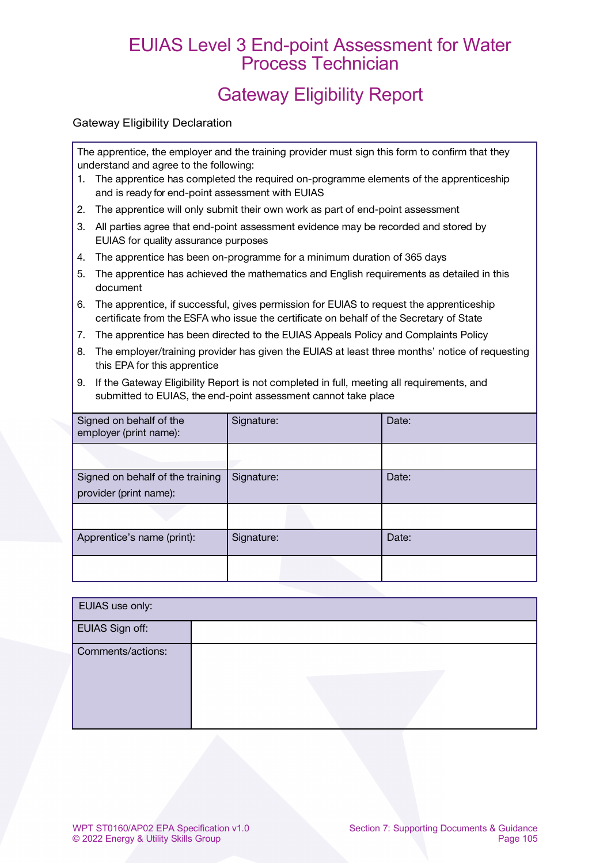### EUIAS Level 3 End-point Assessment for Water Process Technician

### Gateway Eligibility Report

#### Gateway Eligibility Declaration

The apprentice, the employer and the training provider must sign this form to confirm that they understand and agree to the following:

- 1. The apprentice has completed the required on-programme elements of the apprenticeship and is ready for end-point assessment with EUIAS
- 2. The apprentice will only submit their own work as part of end-point assessment
- 3. All parties agree that end-point assessment evidence may be recorded and stored by EUIAS for quality assurance purposes
- 4. The apprentice has been on-programme for a minimum duration of 365 days
- 5. The apprentice has achieved the mathematics and English requirements as detailed in this document
- 6. The apprentice, if successful, gives permission for EUIAS to request the apprenticeship certificate from the ESFA who issue the certificate on behalf of the Secretary of State
- 7. The apprentice has been directed to the EUIAS Appeals Policy and Complaints Policy
- 8. The employer/training provider has given the EUIAS at least three months' notice of requesting this EPA for this apprentice
- 9. If the Gateway Eligibility Report is not completed in full, meeting all requirements, and submitted to EUIAS, the end-point assessment cannot take place

| Signed on behalf of the<br>employer (print name):          | Signature: | Date: |
|------------------------------------------------------------|------------|-------|
|                                                            |            |       |
| Signed on behalf of the training<br>provider (print name): | Signature: | Date: |
|                                                            |            |       |
| Apprentice's name (print):                                 | Signature: | Date: |
|                                                            |            |       |

| EUIAS use only:   |  |  |  |  |  |
|-------------------|--|--|--|--|--|
| EUIAS Sign off:   |  |  |  |  |  |
| Comments/actions: |  |  |  |  |  |